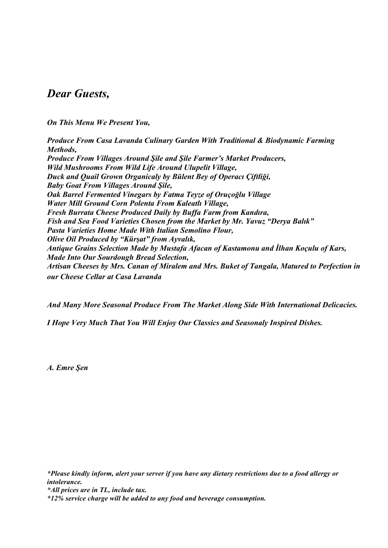### *Dear Guests,*

*On This Menu We Present You,* 

*Produce From Casa Lavanda Culinary Garden With Traditional & Biodynamic Farming Methods, Produce From Villages Around Şile and Şile Farmer's Market Producers, Wild Mushrooms From Wild Life Around Ulupelit Village, Duck and Quail Grown Organicaly by Bülent Bey of Operacı Çiftliği, Baby Goat From Villages Around Şile, Oak Barrel Fermented Vinegars by Fatma Teyze of Oruçoğlu Village Water Mill Ground Corn Polenta From Kaleatlı Village, Fresh Burrata Cheese Produced Daily by Buffa Farm from Kandıra, Fish and Sea Food Varieties Chosen from the Market by Mr. Yavuz "Derya Balık" Pasta Varieties Home Made With Italian Semolino Flour, Olive Oil Produced by "Kürşat" from Ayvalık, Antique Grains Selection Made by Mustafa Afacan of Kastamonu and İlhan Koçulu of Kars, Made Into Our Sourdough Bread Selection, Artisan Cheeses by Mrs. Canan of Miralem and Mrs. Buket of Tangala, Matured to Perfection in our Cheese Cellar at Casa Lavanda*

*And Many More Seasonal Produce From The Market Along Side With International Delicacies.*

*I Hope Very Much That You Will Enjoy Our Classics and Seasonaly Inspired Dishes.*

*A. Emre Şen*

*\*Please kindly inform, alert your server if you have any dietary restrictions due to a food allergy or intolerance.*

*\*All prices are in TL, include tax.*

*<sup>\*12%</sup> service charge will be added to any food and beverage consumption.*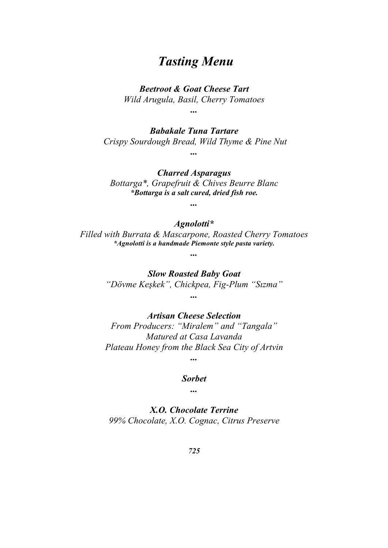### *Tasting Menu*

*Beetroot & Goat Cheese Tart*

*Wild Arugula, Basil, Cherry Tomatoes*

*...*

*Babakale Tuna Tartare Crispy Sourdough Bread, Wild Thyme & Pine Nut ...*

*Charred Asparagus Bottarga\*, Grapefruit & Chives Beurre Blanc \*Bottarga is a salt cured, dried fish roe.*

*...*

#### *Agnolotti\**

*Filled with Burrata & Mascarpone, Roasted Cherry Tomatoes \*Agnolotti is a handmade Piemonte style pasta variety.* 

*...*

*Slow Roasted Baby Goat "Dövme Keşkek", Chickpea, Fig-Plum "Sızma" ...*

*Artisan Cheese Selection*

*From Producers: "Miralem" and "Tangala" Matured at Casa Lavanda Plateau Honey from the Black Sea City of Artvin*

*...*

*Sorbet*

*...*

*X.O. Chocolate Terrine 99% Chocolate, X.O. Cognac, Citrus Preserve*

*725*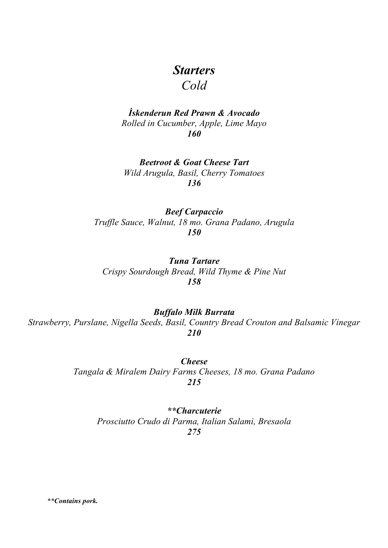# *Starters*

*Cold*

### *İskenderun Red Prawn & Avocado Rolled in Cucumber, Apple, Lime Mayo 160*

*Beetroot & Goat Cheese Tart Wild Arugula, Basil, Cherry Tomatoes 136*

*Beef Carpaccio Truffle Sauce, Walnut, 18 mo. Grana Padano, Arugula 150*

*Tuna Tartare Crispy Sourdough Bread, Wild Thyme & Pine Nut 158*

*Buffalo Milk Burrata Strawberry, Purslane, Nigella Seeds, Basil, Country Bread Crouton and Balsamic Vinegar 210*

> *Cheese Tangala & Miralem Dairy Farms Cheeses, 18 mo. Grana Padano 215*

*\*\*Charcuterie Prosciutto Crudo di Parma, Italian Salami, Bresaola 275*

*\*\*Contains pork.*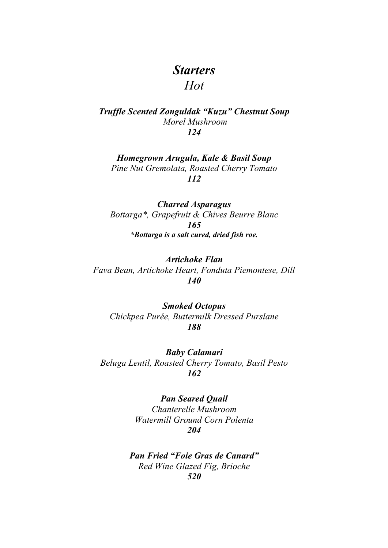### *Starters Hot*

*Truffle Scented Zonguldak "Kuzu" Chestnut Soup Morel Mushroom 124*

*Homegrown Arugula, Kale & Basil Soup* 

*Pine Nut Gremolata, Roasted Cherry Tomato 112*

*Charred Asparagus Bottarga\*, Grapefruit & Chives Beurre Blanc 165 \*Bottarga is a salt cured, dried fish roe.*

*Artichoke Flan Fava Bean, Artichoke Heart, Fonduta Piemontese, Dill 140*

*Smoked Octopus Chickpea Purée, Buttermilk Dressed Purslane 188*

*Baby Calamari Beluga Lentil, Roasted Cherry Tomato, Basil Pesto 162*

> *Pan Seared Quail Chanterelle Mushroom Watermill Ground Corn Polenta 204*

*Pan Fried "Foie Gras de Canard" Red Wine Glazed Fig, Brioche 520*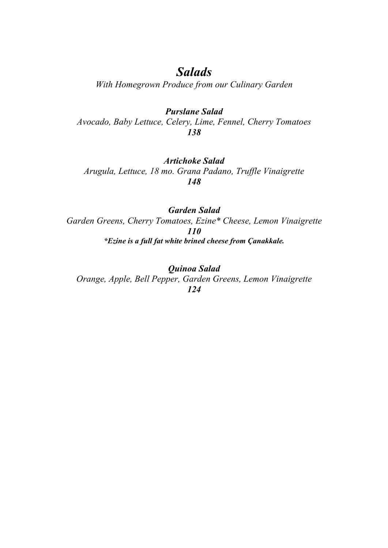## *Salads*

*With Homegrown Produce from our Culinary Garden*

#### *Purslane Salad*

*Avocado, Baby Lettuce, Celery, Lime, Fennel, Cherry Tomatoes 138*

#### *Artichoke Salad*

*Arugula, Lettuce, 18 mo. Grana Padano, Truffle Vinaigrette 148*

#### *Garden Salad*

*Garden Greens, Cherry Tomatoes, Ezine\* Cheese, Lemon Vinaigrette 110 \*Ezine is a full fat white brined cheese from Çanakkale.* 

*Quinoa Salad Orange, Apple, Bell Pepper, Garden Greens, Lemon Vinaigrette 124*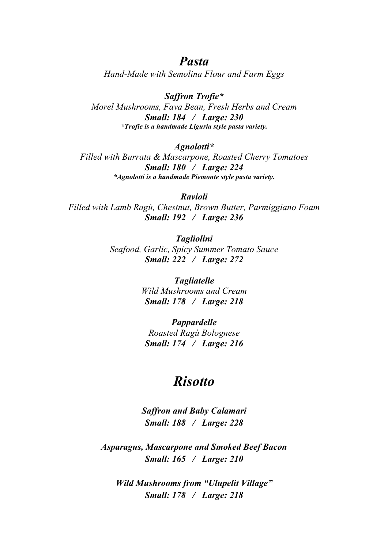### *Pasta*

*Hand-Made with Semolina Flour and Farm Eggs*

*Saffron Trofie\* Morel Mushrooms, Fava Bean, Fresh Herbs and Cream Small: 184 / Large: 230 \*Trofie is a handmade Liguria style pasta variety.* 

*Agnolotti\**

*Filled with Burrata & Mascarpone, Roasted Cherry Tomatoes Small: 180 / Large: 224 \*Agnolotti is a handmade Piemonte style pasta variety.* 

*Ravioli Filled with Lamb Ragù, Chestnut, Brown Butter, Parmiggiano Foam Small: 192 / Large: 236*

> *Tagliolini Seafood, Garlic, Spicy Summer Tomato Sauce Small: 222 / Large: 272*

> > *Tagliatelle Wild Mushrooms and Cream Small: 178 / Large: 218*

*Pappardelle Roasted Ragù Bolognese Small: 174 / Large: 216*

## *Risotto*

*Saffron and Baby Calamari Small: 188 / Large: 228*

*Asparagus, Mascarpone and Smoked Beef Bacon Small: 165 / Large: 210*

*Wild Mushrooms from "Ulupelit Village" Small: 178 / Large: 218*